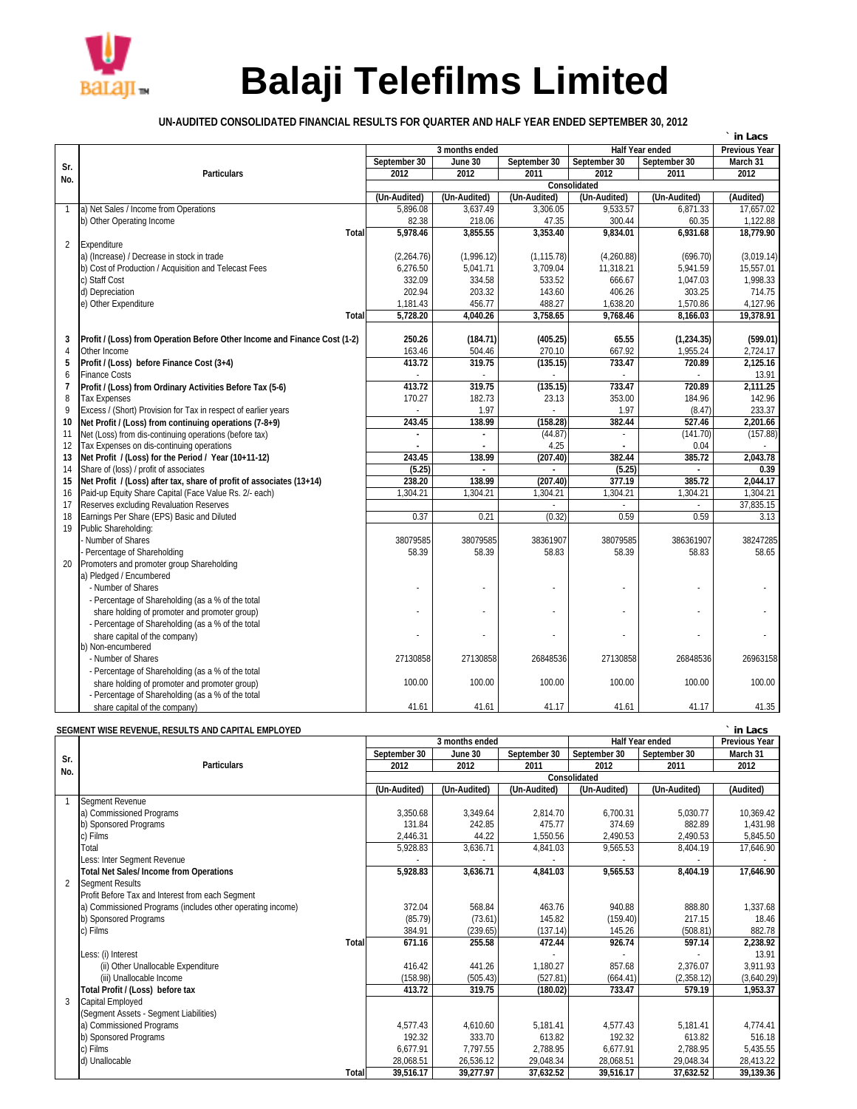

## **Balaji Telefilms Limited**

**UN-AUDITED CONSOLIDATED FINANCIAL RESULTS FOR QUARTER AND HALF YEAR ENDED SEPTEMBER 30, 2012**

| 3 months ended                                                                                       |              | <b>Half Year ended</b> | <b>Previous Year</b> |            |
|------------------------------------------------------------------------------------------------------|--------------|------------------------|----------------------|------------|
| September 30<br>June 30<br>Sr.                                                                       | September 30 | September 30           | September 30         | March 31   |
| 2012<br><b>Particulars</b><br>2012<br>No.                                                            | 2011         | 2012                   | 2011                 | 2012       |
|                                                                                                      |              | <b>Consolidated</b>    |                      |            |
| (Un-Audited)<br>(Un-Audited)                                                                         | (Un-Audited) | (Un-Audited)           | (Un-Audited)         | (Audited)  |
| a) Net Sales / Income from Operations<br>5.896.08<br>3.637.49<br>$\mathbf{1}$                        | 3.306.05     | 9.533.57               | 6.871.33             | 17.657.02  |
| b) Other Operating Income<br>82.38<br>218.06                                                         | 47.35        | 300.44                 | 60.35                | 1,122.88   |
| 5,978.46<br>3,855.55<br><b>Total</b>                                                                 | 3,353.40     | 9,834.01               | 6,931.68             | 18.779.90  |
| $\overline{2}$<br>Expenditure                                                                        |              |                        |                      |            |
| a) (Increase) / Decrease in stock in trade<br>(2,264.76)<br>(1,996.12)                               | (1, 115.78)  | (4,260.88)             | (696.70)             | (3,019.14) |
| b) Cost of Production / Acquisition and Telecast Fees<br>6,276.50<br>5,041.71                        | 3,709.04     | 11,318.21              | 5,941.59             | 15,557.01  |
| c) Staff Cost<br>332.09<br>334.58                                                                    | 533.52       | 666.67                 | 1,047.03             | 1,998.33   |
| d) Depreciation<br>202.94<br>203.32                                                                  | 143.60       | 406.26                 | 303.25               | 714.75     |
| 456.77<br>e) Other Expenditure<br>1,181.43                                                           | 488.27       | 1,638.20               | 1,570.86             | 4,127.96   |
| 5,728.20<br>4.040.26<br>Total                                                                        | 3,758.65     | 9,768.46               | 8,166.03             | 19,378.91  |
| Profit / (Loss) from Operation Before Other Income and Finance Cost (1-2)<br>250.26<br>3<br>(184.71) | (405.25)     | 65.55                  | (1,234.35)           | (599.01)   |
| 163.46<br>504.46<br>4<br>Other Income                                                                | 270.10       | 667.92                 | 1,955.24             | 2,724.17   |
| 319.75<br>Profit / (Loss) before Finance Cost (3+4)<br>413.72<br>5                                   | (135.15)     | 733.47                 | 720.89               | 2,125.16   |
| <b>Finance Costs</b><br>6                                                                            |              |                        |                      | 13.91      |
| 413.72<br>319.75<br>7<br>Profit / (Loss) from Ordinary Activities Before Tax (5-6)                   | (135.15)     | 733.47                 | 720.89               | 2,111.25   |
| 8<br>170.27<br>182.73<br><b>Tax Expenses</b>                                                         | 23.13        | 353.00                 | 184.96               | 142.96     |
| 9<br>Excess / (Short) Provision for Tax in respect of earlier years<br>1.97                          |              | 1.97                   | (8.47)               | 233.37     |
| Net Profit / (Loss) from continuing operations (7-8+9)<br>243.45<br>138.99<br>10                     | (158.28)     | 382.44                 | 527.46               | 2,201.66   |
| Net (Loss) from dis-continuing operations (before tax)<br>11                                         | (44.87)      |                        | (141.70)             | (157.88)   |
| 12<br>Tax Expenses on dis-continuing operations                                                      | 4.25         |                        | 0.04                 |            |
| 243.45<br>138.99<br>13<br>Net Profit / (Loss) for the Period / Year (10+11-12)                       | (207.40)     | 382.44                 | 385.72               | 2,043.78   |
| Share of (loss) / profit of associates<br>(5.25)<br>14                                               |              | (5.25)                 |                      | 0.39       |
| Net Profit / (Loss) after tax, share of profit of associates (13+14)<br>238.20<br>138.99<br>15       | (207.40)     | 377.19                 | 385.72               | 2.044.17   |
| 1,304.21<br>Paid-up Equity Share Capital (Face Value Rs. 2/- each)<br>1,304.21<br>16                 | 1,304.21     | 1,304.21               | 1,304.21             | 1,304.21   |
| Reserves excluding Revaluation Reserves<br>17                                                        |              |                        |                      | 37,835.15  |
| Earnings Per Share (EPS) Basic and Diluted<br>0.37<br>0.21<br>18                                     | (0.32)       | 0.59                   | 0.59                 | 3.13       |
| Public Shareholding:<br>19                                                                           |              |                        |                      |            |
| Number of Shares<br>38079585<br>38079585                                                             | 38361907     | 38079585               | 386361907            | 38247285   |
| Percentage of Shareholding<br>58.39<br>58.39                                                         | 58.83        | 58.39                  | 58.83                | 58.65      |
| Promoters and promoter group Shareholding<br>20                                                      |              |                        |                      |            |
| a) Pledged / Encumbered                                                                              |              |                        |                      |            |
| - Number of Shares                                                                                   |              |                        |                      |            |
| - Percentage of Shareholding (as a % of the total                                                    |              |                        |                      |            |
| share holding of promoter and promoter group)                                                        |              |                        |                      |            |
| - Percentage of Shareholding (as a % of the total                                                    |              |                        |                      |            |
| share capital of the company)                                                                        |              |                        |                      |            |
| b) Non-encumbered                                                                                    |              |                        |                      |            |
| - Number of Shares<br>27130858<br>27130858                                                           | 26848536     | 27130858               | 26848536             | 26963158   |
| - Percentage of Shareholding (as a % of the total                                                    |              |                        |                      |            |
| 100.00<br>100.00<br>share holding of promoter and promoter group)                                    | 100.00       | 100.00                 | 100.00               | 100.00     |
| - Percentage of Shareholding (as a % of the total                                                    |              |                        |                      |            |
| 41.61<br>41.61<br>share capital of the company)                                                      | 41.17        | 41.61                  | 41.17                | 41.35      |

## **SEGMENT WISE REVENUE, RESULTS AND CAPITAL EMPLOYED ` in Lacs**

|     |                                                            |              | 3 months ended |              | <b>Half Year ended</b> | <b>Previous Year</b> |            |  |  |  |
|-----|------------------------------------------------------------|--------------|----------------|--------------|------------------------|----------------------|------------|--|--|--|
| Sr. |                                                            | September 30 | June 30        | September 30 | September 30           | September 30         | March 31   |  |  |  |
| No. | <b>Particulars</b>                                         | 2012         | 2012           | 2011         | 2012                   | 2011                 | 2012       |  |  |  |
|     |                                                            | Consolidated |                |              |                        |                      |            |  |  |  |
|     |                                                            | (Un-Audited) | (Un-Audited)   | (Un-Audited) | (Un-Audited)           | (Un-Audited)         | (Audited)  |  |  |  |
|     | Segment Revenue                                            |              |                |              |                        |                      |            |  |  |  |
|     | a) Commissioned Programs                                   | 3,350.68     | 3,349.64       | 2,814.70     | 6.700.31               | 5,030.77             | 10,369.42  |  |  |  |
|     | b) Sponsored Programs                                      | 131.84       | 242.85         | 475.77       | 374.69                 | 882.89               | 1,431.98   |  |  |  |
|     | c) Films                                                   | 2,446.31     | 44.22          | 1,550.56     | 2,490.53               | 2,490.53             | 5,845.50   |  |  |  |
|     | Total                                                      | 5,928.83     | 3,636.71       | 4,841.03     | 9,565.53               | 8,404.19             | 17,646.90  |  |  |  |
|     | Less: Inter Segment Revenue                                |              |                |              |                        |                      |            |  |  |  |
|     | <b>Total Net Sales/Income from Operations</b>              | 5,928.83     | 3,636.71       | 4,841.03     | 9,565.53               | 8,404.19             | 17,646.90  |  |  |  |
|     | <b>Segment Results</b>                                     |              |                |              |                        |                      |            |  |  |  |
|     | Profit Before Tax and Interest from each Segment           |              |                |              |                        |                      |            |  |  |  |
|     | a) Commissioned Programs (includes other operating income) | 372.04       | 568.84         | 463.76       | 940.88                 | 888.80               | 1,337.68   |  |  |  |
|     | b) Sponsored Programs                                      | (85.79)      | (73.61)        | 145.82       | (159.40)               | 217.15               | 18.46      |  |  |  |
|     | c) Films                                                   | 384.91       | (239.65)       | (137.14)     | 145.26                 | (508.81)             | 882.78     |  |  |  |
|     | <b>Total</b>                                               | 671.16       | 255.58         | 472.44       | 926.74                 | 597.14               | 2,238.92   |  |  |  |
|     | Less: (i) Interest                                         |              |                |              |                        |                      | 13.91      |  |  |  |
|     | (ii) Other Unallocable Expenditure                         | 416.42       | 441.26         | 1,180.27     | 857.68                 | 2,376.07             | 3,911.93   |  |  |  |
|     | (iii) Unallocable Income                                   | (158.98)     | (505.43)       | (527.81)     | (664.41)               | (2,358.12)           | (3,640.29) |  |  |  |
|     | Total Profit / (Loss) before tax                           | 413.72       | 319.75         | (180.02)     | 733.47                 | 579.19               | 1,953.37   |  |  |  |
|     | Capital Employed                                           |              |                |              |                        |                      |            |  |  |  |
|     | (Segment Assets - Segment Liabilities)                     |              |                |              |                        |                      |            |  |  |  |
|     | a) Commissioned Programs                                   | 4,577.43     | 4.610.60       | 5,181.41     | 4,577.43               | 5.181.41             | 4,774.41   |  |  |  |
|     | b) Sponsored Programs                                      | 192.32       | 333.70         | 613.82       | 192.32                 | 613.82               | 516.18     |  |  |  |
|     | c) Films                                                   | 6.677.91     | 7,797.55       | 2,788.95     | 6.677.91               | 2.788.95             | 5,435.55   |  |  |  |
|     | d) Unallocable                                             | 28,068.51    | 26,536.12      | 29,048.34    | 28,068.51              | 29,048.34            | 28,413.22  |  |  |  |
|     | <b>Total</b>                                               | 39,516.17    | 39,277.97      | 37,632.52    | 39,516.17              | 37,632.52            | 39,139.36  |  |  |  |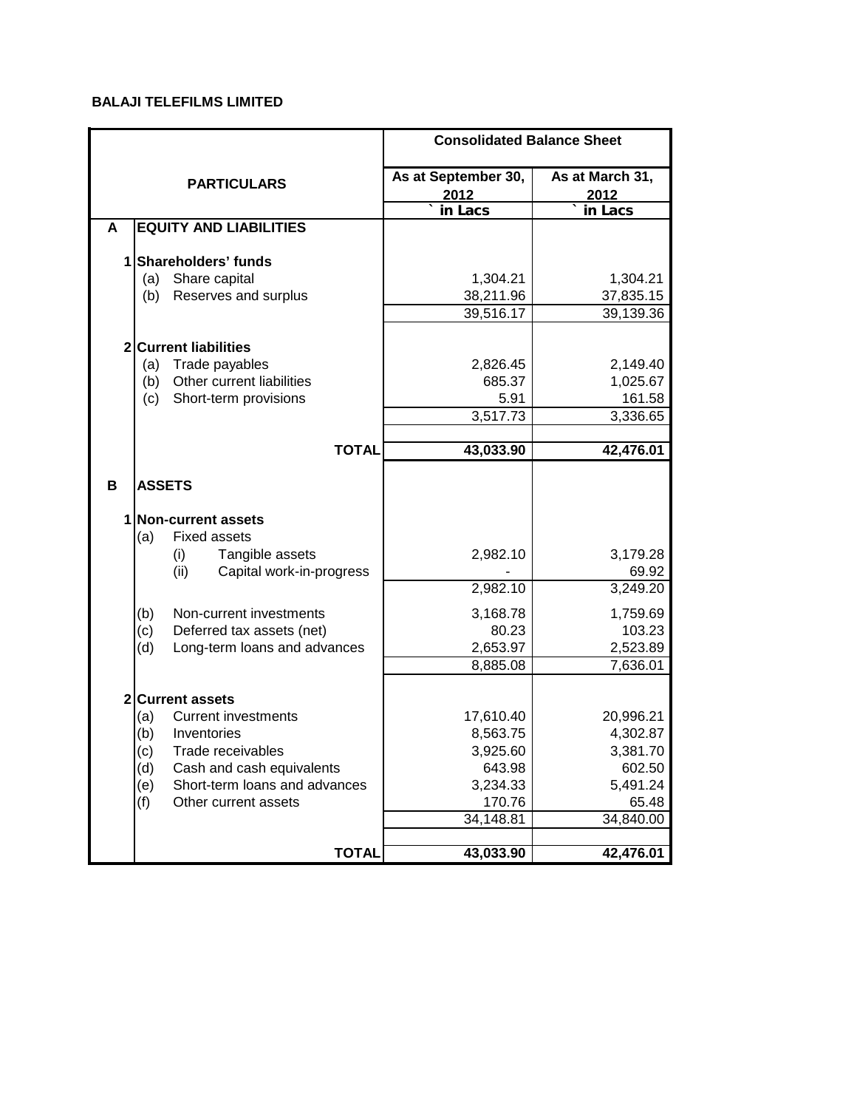## **BALAJI TELEFILMS LIMITED**

|              |                                      | <b>Consolidated Balance Sheet</b> |                         |  |  |  |
|--------------|--------------------------------------|-----------------------------------|-------------------------|--|--|--|
|              | <b>PARTICULARS</b>                   | As at September 30,<br>2012       | As at March 31,<br>2012 |  |  |  |
|              |                                      | in Lacs                           | in Lacs                 |  |  |  |
| A            | <b>EQUITY AND LIABILITIES</b>        |                                   |                         |  |  |  |
|              |                                      |                                   |                         |  |  |  |
| 1            | Shareholders' funds                  |                                   |                         |  |  |  |
|              | Share capital<br>(a)                 | 1,304.21                          | 1,304.21                |  |  |  |
|              | Reserves and surplus<br>(b)          | 38,211.96                         | 37,835.15               |  |  |  |
|              |                                      | 39,516.17                         | 39,139.36               |  |  |  |
|              |                                      |                                   |                         |  |  |  |
| $\mathbf{2}$ | <b>Current liabilities</b>           |                                   |                         |  |  |  |
|              | (a)<br>Trade payables                | 2,826.45                          | 2,149.40                |  |  |  |
|              | Other current liabilities<br>(b)     | 685.37                            | 1,025.67                |  |  |  |
|              | Short-term provisions<br>(c)         | 5.91<br>3,517.73                  | 161.58                  |  |  |  |
|              |                                      |                                   | 3,336.65                |  |  |  |
|              | <b>TOTAL</b>                         | 43,033.90                         | 42,476.01               |  |  |  |
|              |                                      |                                   |                         |  |  |  |
| B            | <b>ASSETS</b>                        |                                   |                         |  |  |  |
|              | 1 Non-current assets                 |                                   |                         |  |  |  |
|              | (a)<br><b>Fixed assets</b>           |                                   |                         |  |  |  |
|              | Tangible assets<br>(i)               | 2,982.10                          | 3,179.28                |  |  |  |
|              | (ii)<br>Capital work-in-progress     |                                   | 69.92                   |  |  |  |
|              |                                      | 2,982.10                          | 3,249.20                |  |  |  |
|              |                                      |                                   |                         |  |  |  |
|              | (b)<br>Non-current investments       | 3,168.78                          | 1,759.69                |  |  |  |
|              | (c)<br>Deferred tax assets (net)     | 80.23                             | 103.23                  |  |  |  |
|              | Long-term loans and advances<br>(d)  | 2,653.97                          | 2,523.89                |  |  |  |
|              |                                      | 8,885.08                          | 7,636.01                |  |  |  |
| $\mathbf 2$  | <b>Current assets</b>                |                                   |                         |  |  |  |
|              | <b>Current investments</b><br>(a)    | 17,610.40                         | 20,996.21               |  |  |  |
|              | (b)<br>Inventories                   | 8,563.75                          | 4,302.87                |  |  |  |
|              | (c)<br>Trade receivables             | 3,925.60                          | 3,381.70                |  |  |  |
|              | (d)<br>Cash and cash equivalents     | 643.98                            | 602.50                  |  |  |  |
|              | (e)<br>Short-term loans and advances | 3,234.33                          | 5,491.24                |  |  |  |
|              | Other current assets<br>(f)          | 170.76                            | 65.48                   |  |  |  |
|              |                                      | 34,148.81                         | 34,840.00               |  |  |  |
|              |                                      |                                   |                         |  |  |  |
|              | <b>TOTAL</b>                         | 43,033.90                         | 42,476.01               |  |  |  |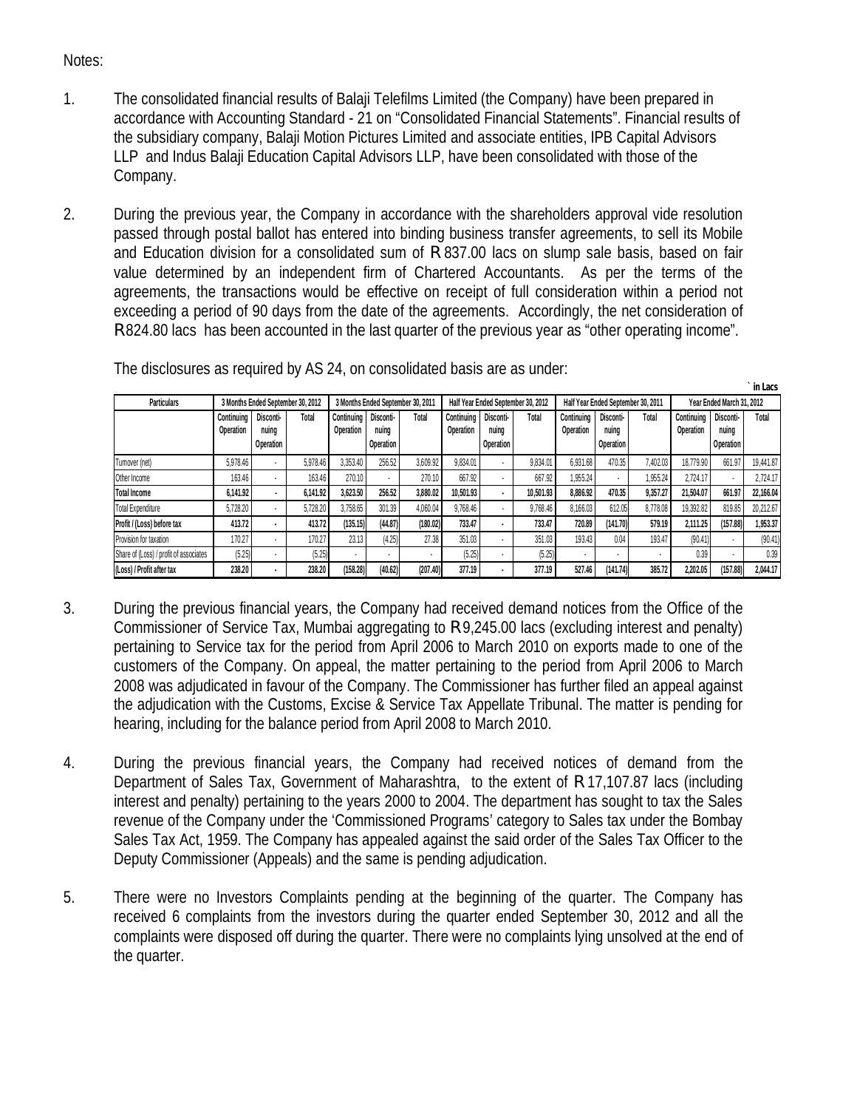## Notes:

- 1. The consolidated financial results of Balaji Telefilms Limited (the Company) have been prepared in accordance with Accounting Standard - 21 on "Consolidated Financial Statements". Financial results of the subsidiary company, Balaji Motion Pictures Limited and associate entities, IPB Capital Advisors LLP and Indus Balaji Education Capital Advisors LLP, have been consolidated with those of the Company.
- 2. During the previous year, the Company in accordance with the shareholders approval vide resolution passed through postal ballot has entered into binding business transfer agreements, to sell its Mobile and Education division for a consolidated sum of R 837.00 lacs on slump sale basis, based on fair value determined by an independent firm of Chartered Accountants. As per the terms of the agreements, the transactions would be effective on receipt of full consideration within a period not exceeding a period of 90 days from the date of the agreements. Accordingly, the net consideration of R 824.80 lacs has been accounted in the last quarter of the previous year as "other operating income".

| The disclosures as required by AS 24, on consolidated basis are as under: |
|---------------------------------------------------------------------------|
|---------------------------------------------------------------------------|

| <b>Particulars</b>                     | 3 Months Ended September 30, 2012 |                                        |              | 3 Months Ended September 30, 2011 |                                 | Half Year Ended September 30, 2012 |                                |                                 | Half Year Ended September 30, 2011 |                                |                                        | Year Ended March 31, 2012 |                         |                                        |           |
|----------------------------------------|-----------------------------------|----------------------------------------|--------------|-----------------------------------|---------------------------------|------------------------------------|--------------------------------|---------------------------------|------------------------------------|--------------------------------|----------------------------------------|---------------------------|-------------------------|----------------------------------------|-----------|
|                                        | Continuina<br>Operation           | <b>Disconti-</b><br>nuina<br>Operation | <b>Total</b> | Continuina<br><b>Operation</b>    | Disconti-<br>nuina<br>Operation | Total                              | Continuing<br><b>Operation</b> | Disconti-<br>nuina<br>Operation | Total                              | Continuina<br><b>Operation</b> | <b>Disconti-</b><br>nuina<br>Operation | Total                     | Continuing<br>Operation | Disconti-<br>nuina<br><b>Operation</b> | Total     |
| Turnover (net)                         | 5.978.46                          | $\overline{\phantom{a}}$               | 5.978.46     | 3.353.40                          | 256.52                          | 3.609.92                           | 9.834.01                       |                                 | 9.834.01                           | 6.931.68                       | 470.35                                 | 7.402.03                  | 18.779.90               | 661.97                                 | 19.441.87 |
| Other Income                           | 163.46                            | $\overline{\phantom{a}}$               | 163.46       | 270.10                            |                                 | 270.10                             | 667.92                         |                                 | 667.92                             | 1.955.24                       | $\overline{\phantom{a}}$               | .955.24                   | 2.724.17                |                                        | 2.724.17  |
| <b>Total Income</b>                    | 6.141.92                          |                                        | 6.141.92     | 3.623.50                          | 256.52                          | 3,880.02                           | 10.501.93                      |                                 | 10.501.93                          | 8,886.92                       | 470.35                                 | 9.357.27                  | 21.504.07               | 661.97                                 | 22.166.04 |
| <b>Total Expenditure</b>               | 5,728.20                          |                                        | 5.728.20     | 3,758.65                          | 301.39                          | 4.060.04                           | 9.768.46                       |                                 | 9.768.46                           | 8.166.03                       | 612.05                                 | 8.778.08                  | 19.392.82               | 819.85                                 | 20,212.67 |
| Profit / (Loss) before tax             | 413.72                            | $\bullet$                              | 413.72       | (135.15)                          | (44.87)                         | (180.02)                           | 733.47                         |                                 | 733.47                             | 720.89                         | (141.70)                               | 579.19                    | 2.111.25                | (157.88)                               | 1,953.37  |
| Provision for taxation                 | 170.27                            |                                        | 170.27       | 23.13                             | (4.25)                          | 27.38                              | 351.03                         |                                 | 351.03                             | 193.43                         | 0.04                                   | 193.47                    | (90.41)                 |                                        | (90.41)   |
| Share of (Loss) / profit of associates | (5.25)                            |                                        | (5.25)       | ٠                                 |                                 |                                    | (5.25)                         | $\overline{\phantom{a}}$        | (5.25)                             | ٠                              |                                        |                           | 0.39                    | ٠                                      | 0.39      |
| (Loss) / Profit after tax              | 238.20                            | $\bullet$                              | 238.20       | (158.28)                          | (40.62)                         | (207.40)                           | 377.19                         |                                 | 377.19                             | 527.46                         | (141.74)                               | 385.72                    | 2,202.05                | (157.88)                               | 2.044.17  |

**` in Lacs**

- 3. During the previous financial years, the Company had received demand notices from the Office of the Commissioner of Service Tax, Mumbai aggregating to R 9,245.00 lacs (excluding interest and penalty) pertaining to Service tax for the period from April 2006 to March 2010 on exports made to one of the customers of the Company. On appeal, the matter pertaining to the period from April 2006 to March 2008 was adjudicated in favour of the Company. The Commissioner has further filed an appeal against the adjudication with the Customs, Excise & Service Tax Appellate Tribunal. The matter is pending for hearing, including for the balance period from April 2008 to March 2010.
- 4. During the previous financial years, the Company had received notices of demand from the Department of Sales Tax, Government of Maharashtra, to the extent of R 17,107.87 lacs (including interest and penalty) pertaining to the years 2000 to 2004. The department has sought to tax the Sales revenue of the Company under the 'Commissioned Programs' category to Sales tax under the Bombay Sales Tax Act, 1959. The Company has appealed against the said order of the Sales Tax Officer to the Deputy Commissioner (Appeals) and the same is pending adjudication.
- 5. There were no Investors Complaints pending at the beginning of the quarter. The Company has received 6 complaints from the investors during the quarter ended September 30, 2012 and all the complaints were disposed off during the quarter. There were no complaints lying unsolved at the end of the quarter.